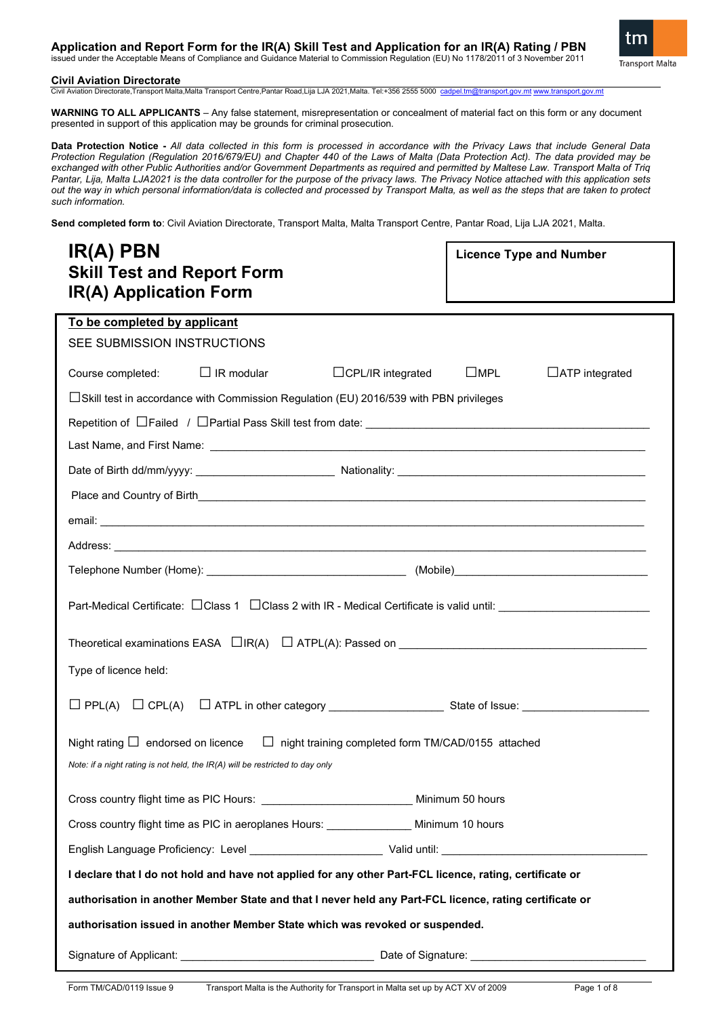### **Application and Report Form for the IR(A) Skill Test and Application for an IR(A) Rating / PBN** issued under the Acceptable Means of Compliance and Guidance Material to Commission Regulation (EU) No 1178/2011 of 3 November 2011



### **Civil Aviation Directorate**

Civil Aviation Directorate,Transport Malta,Malta Transport Centre,Pantar Road,Lija LJA 2021,Malta. Tel:+356 2555 5000 [cadpel.tm@transport.gov.mt](mailto:cadpel.tm@transport.gov.mt) www.transport.gov.mt

**WARNING TO ALL APPLICANTS** – Any false statement, misrepresentation or concealment of material fact on this form or any document presented in support of this application may be grounds for criminal prosecution.

**Data Protection Notice -** *All data collected in this form is processed in accordance with the Privacy Laws that include General Data Protection Regulation (Regulation 2016/679/EU) and Chapter 440 of the Laws of Malta (Data Protection Act). The data provided may be exchanged with other Public Authorities and/or Government Departments as required and permitted by Maltese Law. Transport Malta of Triq Pantar, Lija, Malta LJA2021 is the data controller for the purpose of the privacy laws. The Privacy Notice attached with this application sets out the way in which personal information/data is collected and processed by Transport Malta, as well as the steps that are taken to protect such information.*

**Send completed form to**: Civil Aviation Directorate, Transport Malta, Malta Transport Centre, Pantar Road, Lija LJA 2021, Malta.

| IR(A) PBN<br><b>Skill Test and Report Form</b><br><b>IR(A) Application Form</b>                                                                                                    | <b>Licence Type and Number</b>         |  |  |  |  |
|------------------------------------------------------------------------------------------------------------------------------------------------------------------------------------|----------------------------------------|--|--|--|--|
| To be completed by applicant                                                                                                                                                       |                                        |  |  |  |  |
| SEE SUBMISSION INSTRUCTIONS                                                                                                                                                        |                                        |  |  |  |  |
| $\Box$ IR modular<br>$\Box$ CPL/IR integrated<br>Course completed:                                                                                                                 | $\square$ MPL<br>$\Box$ ATP integrated |  |  |  |  |
| $\Box$ Skill test in accordance with Commission Regulation (EU) 2016/539 with PBN privileges                                                                                       |                                        |  |  |  |  |
|                                                                                                                                                                                    |                                        |  |  |  |  |
|                                                                                                                                                                                    |                                        |  |  |  |  |
|                                                                                                                                                                                    |                                        |  |  |  |  |
|                                                                                                                                                                                    |                                        |  |  |  |  |
|                                                                                                                                                                                    |                                        |  |  |  |  |
|                                                                                                                                                                                    |                                        |  |  |  |  |
|                                                                                                                                                                                    |                                        |  |  |  |  |
| Part-Medical Certificate: □ Class 1 □ Class 2 with IR - Medical Certificate is valid until: _________________________                                                              |                                        |  |  |  |  |
|                                                                                                                                                                                    |                                        |  |  |  |  |
| Type of licence held:                                                                                                                                                              |                                        |  |  |  |  |
|                                                                                                                                                                                    |                                        |  |  |  |  |
| Night rating $\Box$ endorsed on licence<br>□ night training completed form TM/CAD/0155 attached<br>Note: if a night rating is not held, the $IR(A)$ will be restricted to day only |                                        |  |  |  |  |
| Cross country flight time as PIC Hours: __________________________________Minimum 50 hours                                                                                         |                                        |  |  |  |  |
| Cross country flight time as PIC in aeroplanes Hours: ________________ Minimum 10 hours                                                                                            |                                        |  |  |  |  |
|                                                                                                                                                                                    |                                        |  |  |  |  |
| I declare that I do not hold and have not applied for any other Part-FCL licence, rating, certificate or                                                                           |                                        |  |  |  |  |
| authorisation in another Member State and that I never held any Part-FCL licence, rating certificate or                                                                            |                                        |  |  |  |  |
| authorisation issued in another Member State which was revoked or suspended.                                                                                                       |                                        |  |  |  |  |
|                                                                                                                                                                                    |                                        |  |  |  |  |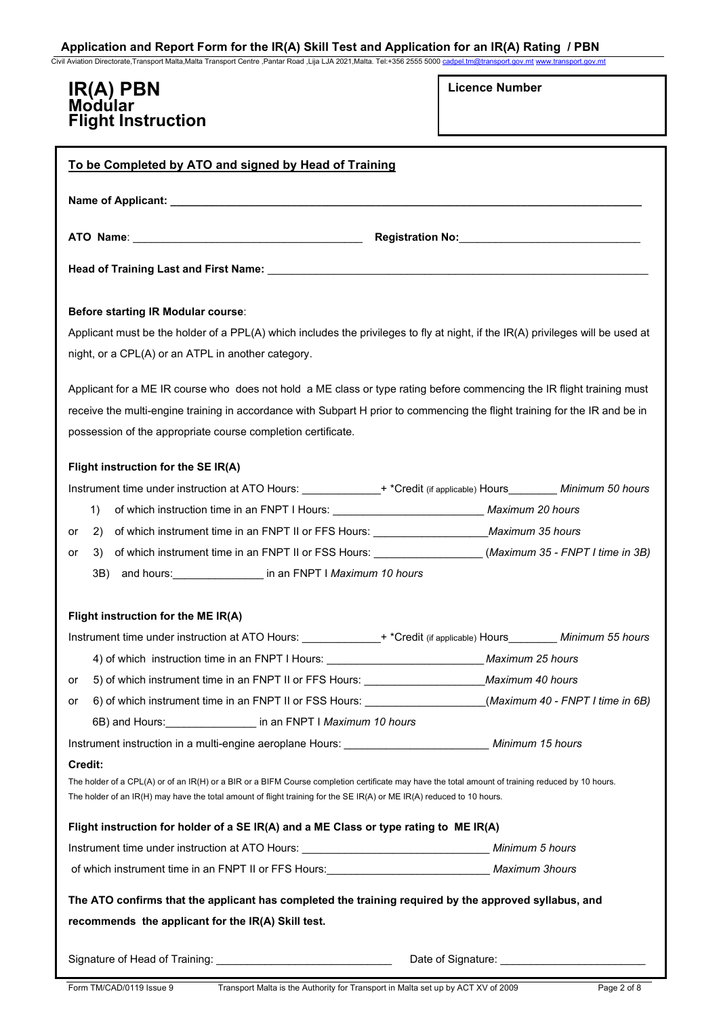Civil Aviation Directorate,Transport Malta,Malta Transport Centre ,Pantar Road ,Lija LJA 2021,Malta. Tel:+356 2555 5000 cadp

# **IR(A) PBN Modular Flight Instruction**

|  | <b>Licence Number</b> |
|--|-----------------------|
|--|-----------------------|

| To be Completed by ATO and signed by Head of Training                                                                                                                                                                                                                                 |                  |  |  |  |
|---------------------------------------------------------------------------------------------------------------------------------------------------------------------------------------------------------------------------------------------------------------------------------------|------------------|--|--|--|
|                                                                                                                                                                                                                                                                                       |                  |  |  |  |
|                                                                                                                                                                                                                                                                                       |                  |  |  |  |
|                                                                                                                                                                                                                                                                                       |                  |  |  |  |
| Before starting IR Modular course:                                                                                                                                                                                                                                                    |                  |  |  |  |
| Applicant must be the holder of a PPL(A) which includes the privileges to fly at night, if the IR(A) privileges will be used at<br>night, or a CPL(A) or an ATPL in another category.                                                                                                 |                  |  |  |  |
| Applicant for a ME IR course who does not hold a ME class or type rating before commencing the IR flight training must                                                                                                                                                                |                  |  |  |  |
| receive the multi-engine training in accordance with Subpart H prior to commencing the flight training for the IR and be in                                                                                                                                                           |                  |  |  |  |
| possession of the appropriate course completion certificate.                                                                                                                                                                                                                          |                  |  |  |  |
| Flight instruction for the SE IR(A)                                                                                                                                                                                                                                                   |                  |  |  |  |
| Instrument time under instruction at ATO Hours: ________________+ *Credit (if applicable) Hours _________ Minimum 50 hours                                                                                                                                                            |                  |  |  |  |
| of which instruction time in an FNPT I Hours: __________________________________ Maximum 20 hours<br>1)                                                                                                                                                                               |                  |  |  |  |
| of which instrument time in an FNPT II or FFS Hours: ___________________________Maximum 35 hours<br>2)<br>or                                                                                                                                                                          |                  |  |  |  |
| of which instrument time in an FNPT II or FSS Hours: _______________(Maximum 35 - FNPT I time in 3B)<br>3)<br>or                                                                                                                                                                      |                  |  |  |  |
| and hours: __________________ in an FNPT   Maximum 10 hours<br>3B)                                                                                                                                                                                                                    |                  |  |  |  |
|                                                                                                                                                                                                                                                                                       |                  |  |  |  |
| Flight instruction for the ME IR(A)                                                                                                                                                                                                                                                   |                  |  |  |  |
| Instrument time under instruction at ATO Hours: ______________+ *Credit (if applicable) Hours__________ Minimum 55 hours                                                                                                                                                              |                  |  |  |  |
| 4) of which instruction time in an FNPT I Hours: ________________________________Maximum 25 hours                                                                                                                                                                                     |                  |  |  |  |
| 5) of which instrument time in an FNPT II or FFS Hours:<br>or                                                                                                                                                                                                                         | Maximum 40 hours |  |  |  |
| 6) of which instrument time in an FNPT II or FSS Hours: (Maximum 40 - FNPT I time in 6B)<br>or                                                                                                                                                                                        |                  |  |  |  |
| 6B) and Hours: in an FNPT I Maximum 10 hours                                                                                                                                                                                                                                          |                  |  |  |  |
| Instrument instruction in a multi-engine aeroplane Hours: _________________________________ Minimum 15 hours                                                                                                                                                                          |                  |  |  |  |
| Credit:<br>The holder of a CPL(A) or of an IR(H) or a BIR or a BIFM Course completion certificate may have the total amount of training reduced by 10 hours.<br>The holder of an IR(H) may have the total amount of flight training for the SE IR(A) or ME IR(A) reduced to 10 hours. |                  |  |  |  |
| Flight instruction for holder of a SE IR(A) and a ME Class or type rating to ME IR(A)                                                                                                                                                                                                 |                  |  |  |  |
|                                                                                                                                                                                                                                                                                       |                  |  |  |  |
| of which instrument time in an FNPT II or FFS Hours: _________________________________ Maximum 3hours                                                                                                                                                                                 |                  |  |  |  |
| The ATO confirms that the applicant has completed the training required by the approved syllabus, and                                                                                                                                                                                 |                  |  |  |  |
| recommends the applicant for the IR(A) Skill test.                                                                                                                                                                                                                                    |                  |  |  |  |
|                                                                                                                                                                                                                                                                                       |                  |  |  |  |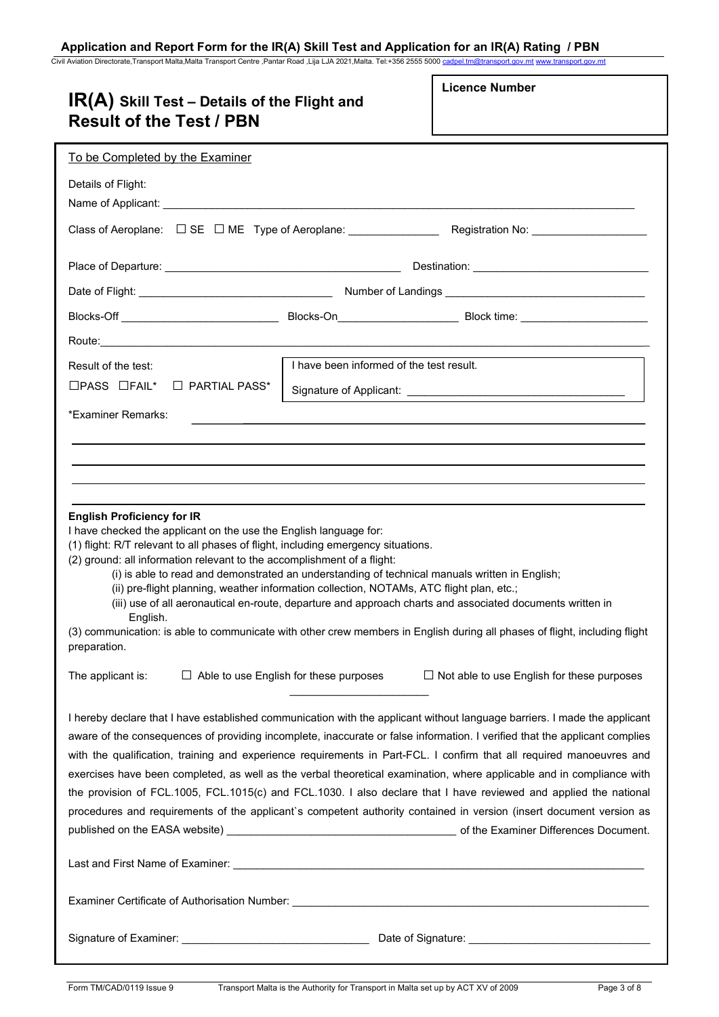Civil Aviation Directorate,Transport Malta,Malta Transport Centre ,Pantar Road ,Lija LJA 2021,Malta. Tel:+356 2555 5000 <u>[cadpel.tm@transport.gov.mt](mailto:cadpel.tm@transport.gov.mt) www.transport.gov.mt</u>

| $IR(A)$ Skill Test – Details of the Flight and<br><b>Result of the Test / PBN</b>                                                                                                                                                                                                                                                                                                                                                                           |                                               | <b>Licence Number</b>                                                                                                                                                                                                                                                                                                                                                                                                                                                                                                                                                                                                                                                                                                                                |
|-------------------------------------------------------------------------------------------------------------------------------------------------------------------------------------------------------------------------------------------------------------------------------------------------------------------------------------------------------------------------------------------------------------------------------------------------------------|-----------------------------------------------|------------------------------------------------------------------------------------------------------------------------------------------------------------------------------------------------------------------------------------------------------------------------------------------------------------------------------------------------------------------------------------------------------------------------------------------------------------------------------------------------------------------------------------------------------------------------------------------------------------------------------------------------------------------------------------------------------------------------------------------------------|
| To be Completed by the Examiner                                                                                                                                                                                                                                                                                                                                                                                                                             |                                               |                                                                                                                                                                                                                                                                                                                                                                                                                                                                                                                                                                                                                                                                                                                                                      |
| Details of Flight:                                                                                                                                                                                                                                                                                                                                                                                                                                          |                                               |                                                                                                                                                                                                                                                                                                                                                                                                                                                                                                                                                                                                                                                                                                                                                      |
|                                                                                                                                                                                                                                                                                                                                                                                                                                                             |                                               |                                                                                                                                                                                                                                                                                                                                                                                                                                                                                                                                                                                                                                                                                                                                                      |
|                                                                                                                                                                                                                                                                                                                                                                                                                                                             |                                               |                                                                                                                                                                                                                                                                                                                                                                                                                                                                                                                                                                                                                                                                                                                                                      |
|                                                                                                                                                                                                                                                                                                                                                                                                                                                             |                                               |                                                                                                                                                                                                                                                                                                                                                                                                                                                                                                                                                                                                                                                                                                                                                      |
|                                                                                                                                                                                                                                                                                                                                                                                                                                                             |                                               |                                                                                                                                                                                                                                                                                                                                                                                                                                                                                                                                                                                                                                                                                                                                                      |
|                                                                                                                                                                                                                                                                                                                                                                                                                                                             |                                               |                                                                                                                                                                                                                                                                                                                                                                                                                                                                                                                                                                                                                                                                                                                                                      |
| Result of the test:                                                                                                                                                                                                                                                                                                                                                                                                                                         | I have been informed of the test result.      |                                                                                                                                                                                                                                                                                                                                                                                                                                                                                                                                                                                                                                                                                                                                                      |
| $\Box$ PASS $\Box$ FAIL*<br>$\Box$ PARTIAL PASS*                                                                                                                                                                                                                                                                                                                                                                                                            |                                               |                                                                                                                                                                                                                                                                                                                                                                                                                                                                                                                                                                                                                                                                                                                                                      |
| *Examiner Remarks:                                                                                                                                                                                                                                                                                                                                                                                                                                          |                                               |                                                                                                                                                                                                                                                                                                                                                                                                                                                                                                                                                                                                                                                                                                                                                      |
| I have checked the applicant on the use the English language for:<br>(1) flight: R/T relevant to all phases of flight, including emergency situations.<br>(2) ground: all information relevant to the accomplishment of a flight:<br>(i) is able to read and demonstrated an understanding of technical manuals written in English;<br>(ii) pre-flight planning, weather information collection, NOTAMs, ATC flight plan, etc.;<br>English.<br>preparation. |                                               | (iii) use of all aeronautical en-route, departure and approach charts and associated documents written in<br>(3) communication: is able to communicate with other crew members in English during all phases of flight, including flight                                                                                                                                                                                                                                                                                                                                                                                                                                                                                                              |
| The applicant is:                                                                                                                                                                                                                                                                                                                                                                                                                                           | $\Box$ Able to use English for these purposes | $\Box$ Not able to use English for these purposes                                                                                                                                                                                                                                                                                                                                                                                                                                                                                                                                                                                                                                                                                                    |
|                                                                                                                                                                                                                                                                                                                                                                                                                                                             |                                               | I hereby declare that I have established communication with the applicant without language barriers. I made the applicant<br>aware of the consequences of providing incomplete, inaccurate or false information. I verified that the applicant complies<br>with the qualification, training and experience requirements in Part-FCL. I confirm that all required manoeuvres and<br>exercises have been completed, as well as the verbal theoretical examination, where applicable and in compliance with<br>the provision of FCL.1005, FCL.1015(c) and FCL.1030. I also declare that I have reviewed and applied the national<br>procedures and requirements of the applicant's competent authority contained in version (insert document version as |
|                                                                                                                                                                                                                                                                                                                                                                                                                                                             |                                               |                                                                                                                                                                                                                                                                                                                                                                                                                                                                                                                                                                                                                                                                                                                                                      |
|                                                                                                                                                                                                                                                                                                                                                                                                                                                             |                                               |                                                                                                                                                                                                                                                                                                                                                                                                                                                                                                                                                                                                                                                                                                                                                      |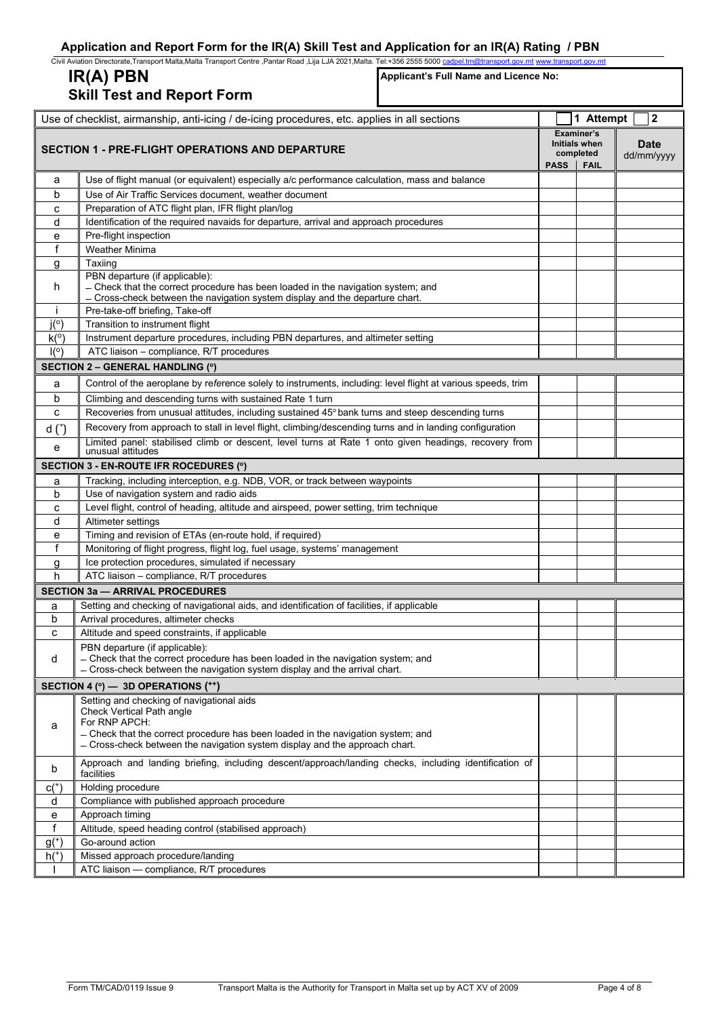|              | Civil Aviation Directorate, Transport Malta, Malta Transport Centre , Pantar Road , Lija LJA 2021, Malta. Tel:+356 2555 5000 cadpel.tm@transport.gov.mt www.transport.gov.mt                     |      |                                          |                           |  |
|--------------|--------------------------------------------------------------------------------------------------------------------------------------------------------------------------------------------------|------|------------------------------------------|---------------------------|--|
|              | IR(A) PBN<br>Applicant's Full Name and Licence No:<br><b>Skill Test and Report Form</b>                                                                                                          |      |                                          |                           |  |
|              | Use of checklist, airmanship, anti-icing / de-icing procedures, etc. applies in all sections                                                                                                     |      | 1 Attempt                                | 2                         |  |
|              | <b>SECTION 1 - PRE-FLIGHT OPERATIONS AND DEPARTURE</b>                                                                                                                                           |      | Examiner's<br>Initials when<br>completed | <b>Date</b><br>dd/mm/yyyy |  |
|              |                                                                                                                                                                                                  | PASS | <b>FAIL</b>                              |                           |  |
| a            | Use of flight manual (or equivalent) especially a/c performance calculation, mass and balance                                                                                                    |      |                                          |                           |  |
| b            | Use of Air Traffic Services document, weather document                                                                                                                                           |      |                                          |                           |  |
| с            | Preparation of ATC flight plan, IFR flight plan/log                                                                                                                                              |      |                                          |                           |  |
| d            | Identification of the required navaids for departure, arrival and approach procedures                                                                                                            |      |                                          |                           |  |
| е<br>f       | Pre-flight inspection<br><b>Weather Minima</b>                                                                                                                                                   |      |                                          |                           |  |
| g            | Taxiing                                                                                                                                                                                          |      |                                          |                           |  |
|              | PBN departure (if applicable):                                                                                                                                                                   |      |                                          |                           |  |
| h            | - Check that the correct procedure has been loaded in the navigation system; and<br>- Cross-check between the navigation system display and the departure chart.                                 |      |                                          |                           |  |
| $\mathbf{I}$ | Pre-take-off briefing, Take-off                                                                                                                                                                  |      |                                          |                           |  |
| $i^{o}$      | Transition to instrument flight                                                                                                                                                                  |      |                                          |                           |  |
| k(°)         | Instrument departure procedures, including PBN departures, and altimeter setting                                                                                                                 |      |                                          |                           |  |
| I(°)         | ATC liaison - compliance, R/T procedures                                                                                                                                                         |      |                                          |                           |  |
|              | <b>SECTION 2 - GENERAL HANDLING (°)</b>                                                                                                                                                          |      |                                          |                           |  |
| a            | Control of the aeroplane by reference solely to instruments, including: level flight at various speeds, trim                                                                                     |      |                                          |                           |  |
| b            | Climbing and descending turns with sustained Rate 1 turn                                                                                                                                         |      |                                          |                           |  |
| с            | Recoveries from unusual attitudes, including sustained 45° bank turns and steep descending turns                                                                                                 |      |                                          |                           |  |
| $d*$         | Recovery from approach to stall in level flight, climbing/descending turns and in landing configuration                                                                                          |      |                                          |                           |  |
| е            | Limited panel: stabilised climb or descent, level turns at Rate 1 onto given headings, recovery from<br>unusual attitudes                                                                        |      |                                          |                           |  |
|              | SECTION 3 - EN-ROUTE IFR ROCEDURES (°)                                                                                                                                                           |      |                                          |                           |  |
| а            | Tracking, including interception, e.g. NDB, VOR, or track between waypoints                                                                                                                      |      |                                          |                           |  |
| b            | Use of navigation system and radio aids                                                                                                                                                          |      |                                          |                           |  |
| с<br>d       | Level flight, control of heading, altitude and airspeed, power setting, trim technique<br>Altimeter settings                                                                                     |      |                                          |                           |  |
| е            | Timing and revision of ETAs (en-route hold, if required)                                                                                                                                         |      |                                          |                           |  |
| f            | Monitoring of flight progress, flight log, fuel usage, systems' management                                                                                                                       |      |                                          |                           |  |
| g            | Ice protection procedures, simulated if necessary                                                                                                                                                |      |                                          |                           |  |
| h            | ATC liaison - compliance, R/T procedures                                                                                                                                                         |      |                                          |                           |  |
|              | <b>SECTION 3a - ARRIVAL PROCEDURES</b>                                                                                                                                                           |      |                                          |                           |  |
| a            | Setting and checking of navigational aids, and identification of facilities, if applicable                                                                                                       |      |                                          |                           |  |
| b            | Arrival procedures, altimeter checks                                                                                                                                                             |      |                                          |                           |  |
| с            | Altitude and speed constraints, if applicable                                                                                                                                                    |      |                                          |                           |  |
| d            | PBN departure (if applicable):<br>- Check that the correct procedure has been loaded in the navigation system; and<br>- Cross-check between the navigation system display and the arrival chart. |      |                                          |                           |  |
|              | SECTION 4 (°) - 3D OPERATIONS (**)                                                                                                                                                               |      |                                          |                           |  |
|              | Setting and checking of navigational aids                                                                                                                                                        |      |                                          |                           |  |
|              | Check Vertical Path angle                                                                                                                                                                        |      |                                          |                           |  |
| a            | For RNP APCH:<br>- Check that the correct procedure has been loaded in the navigation system; and                                                                                                |      |                                          |                           |  |
|              | - Cross-check between the navigation system display and the approach chart.                                                                                                                      |      |                                          |                           |  |
| b            | Approach and landing briefing, including descent/approach/landing checks, including identification of<br>facilities                                                                              |      |                                          |                           |  |
| $c(+)$       | Holding procedure                                                                                                                                                                                |      |                                          |                           |  |
| d            | Compliance with published approach procedure                                                                                                                                                     |      |                                          |                           |  |
| е            | Approach timing                                                                                                                                                                                  |      |                                          |                           |  |
| f            | Altitude, speed heading control (stabilised approach)                                                                                                                                            |      |                                          |                           |  |
| $g^{(+)}$    | Go-around action                                                                                                                                                                                 |      |                                          |                           |  |
| $h+$         | Missed approach procedure/landing                                                                                                                                                                |      |                                          |                           |  |
|              | ATC liaison - compliance, R/T procedures                                                                                                                                                         |      |                                          |                           |  |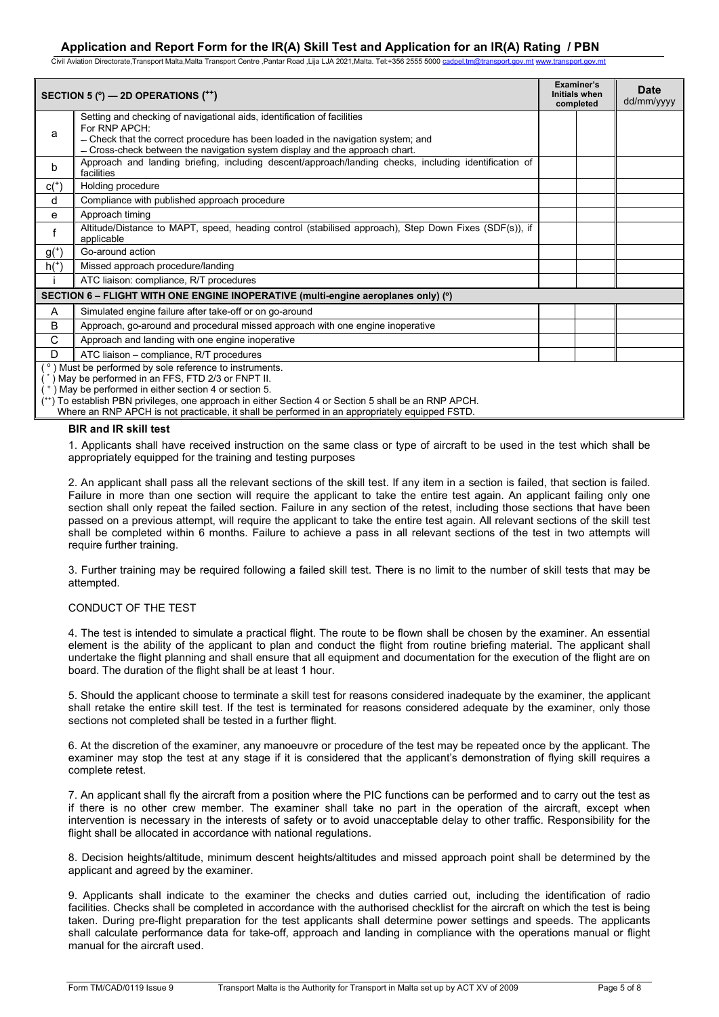Civil Aviation Directorate,Transport Malta,Malta Transport Centre ,Pantar Road ,Lija LJA 2021,Malta. Tel:+356 2555 5000 cadpel

|             | SECTION 5 $(°)$ — 2D OPERATIONS $($ <sup>++</sup> )                                                                                                                                                                                                                                                                                                                           | Examiner's<br><b>Initials when</b><br>completed | <b>Date</b><br>dd/mm/yyyy |
|-------------|-------------------------------------------------------------------------------------------------------------------------------------------------------------------------------------------------------------------------------------------------------------------------------------------------------------------------------------------------------------------------------|-------------------------------------------------|---------------------------|
| a           | Setting and checking of navigational aids, identification of facilities<br>For RNP APCH:<br>- Check that the correct procedure has been loaded in the navigation system; and<br>- Cross-check between the navigation system display and the approach chart.                                                                                                                   |                                                 |                           |
| b           | Approach and landing briefing, including descent/approach/landing checks, including identification of<br>facilities                                                                                                                                                                                                                                                           |                                                 |                           |
| $c(+)$      | Holding procedure                                                                                                                                                                                                                                                                                                                                                             |                                                 |                           |
| d           | Compliance with published approach procedure                                                                                                                                                                                                                                                                                                                                  |                                                 |                           |
| e           | Approach timing                                                                                                                                                                                                                                                                                                                                                               |                                                 |                           |
| $\mathsf f$ | Altitude/Distance to MAPT, speed, heading control (stabilised approach), Step Down Fixes (SDF(s)), if<br>applicable                                                                                                                                                                                                                                                           |                                                 |                           |
| $g^{(+)}$   | Go-around action                                                                                                                                                                                                                                                                                                                                                              |                                                 |                           |
| $h+$        | Missed approach procedure/landing                                                                                                                                                                                                                                                                                                                                             |                                                 |                           |
|             | ATC liaison: compliance, R/T procedures                                                                                                                                                                                                                                                                                                                                       |                                                 |                           |
|             | SECTION 6 – FLIGHT WITH ONE ENGINE INOPERATIVE (multi-engine aeroplanes only) (°)                                                                                                                                                                                                                                                                                             |                                                 |                           |
| A           | Simulated engine failure after take-off or on go-around                                                                                                                                                                                                                                                                                                                       |                                                 |                           |
| B           | Approach, go-around and procedural missed approach with one engine inoperative                                                                                                                                                                                                                                                                                                |                                                 |                           |
| C           | Approach and landing with one engine inoperative                                                                                                                                                                                                                                                                                                                              |                                                 |                           |
| D           | ATC liaison - compliance, R/T procedures                                                                                                                                                                                                                                                                                                                                      |                                                 |                           |
|             | (°) Must be performed by sole reference to instruments.<br>May be performed in an FFS, FTD 2/3 or FNPT II.<br>) May be performed in either section 4 or section 5.<br>(**) To establish PBN privileges, one approach in either Section 4 or Section 5 shall be an RNP APCH.<br>Where an RNP APCH is not practicable, it shall be performed in an appropriately equipped FSTD. |                                                 |                           |

### **BIR and IR skill test**

1. Applicants shall have received instruction on the same class or type of aircraft to be used in the test which shall be appropriately equipped for the training and testing purposes

2. An applicant shall pass all the relevant sections of the skill test. If any item in a section is failed, that section is failed. Failure in more than one section will require the applicant to take the entire test again. An applicant failing only one section shall only repeat the failed section. Failure in any section of the retest, including those sections that have been passed on a previous attempt, will require the applicant to take the entire test again. All relevant sections of the skill test shall be completed within 6 months. Failure to achieve a pass in all relevant sections of the test in two attempts will require further training.

3. Further training may be required following a failed skill test. There is no limit to the number of skill tests that may be attempted.

### CONDUCT OF THE TEST

4. The test is intended to simulate a practical flight. The route to be flown shall be chosen by the examiner. An essential element is the ability of the applicant to plan and conduct the flight from routine briefing material. The applicant shall undertake the flight planning and shall ensure that all equipment and documentation for the execution of the flight are on board. The duration of the flight shall be at least 1 hour.

5. Should the applicant choose to terminate a skill test for reasons considered inadequate by the examiner, the applicant shall retake the entire skill test. If the test is terminated for reasons considered adequate by the examiner, only those sections not completed shall be tested in a further flight.

6. At the discretion of the examiner, any manoeuvre or procedure of the test may be repeated once by the applicant. The examiner may stop the test at any stage if it is considered that the applicant's demonstration of flying skill requires a complete retest.

7. An applicant shall fly the aircraft from a position where the PIC functions can be performed and to carry out the test as if there is no other crew member. The examiner shall take no part in the operation of the aircraft, except when intervention is necessary in the interests of safety or to avoid unacceptable delay to other traffic. Responsibility for the flight shall be allocated in accordance with national regulations.

8. Decision heights/altitude, minimum descent heights/altitudes and missed approach point shall be determined by the applicant and agreed by the examiner.

9. Applicants shall indicate to the examiner the checks and duties carried out, including the identification of radio facilities. Checks shall be completed in accordance with the authorised checklist for the aircraft on which the test is being taken. During pre-flight preparation for the test applicants shall determine power settings and speeds. The applicants shall calculate performance data for take-off, approach and landing in compliance with the operations manual or flight manual for the aircraft used.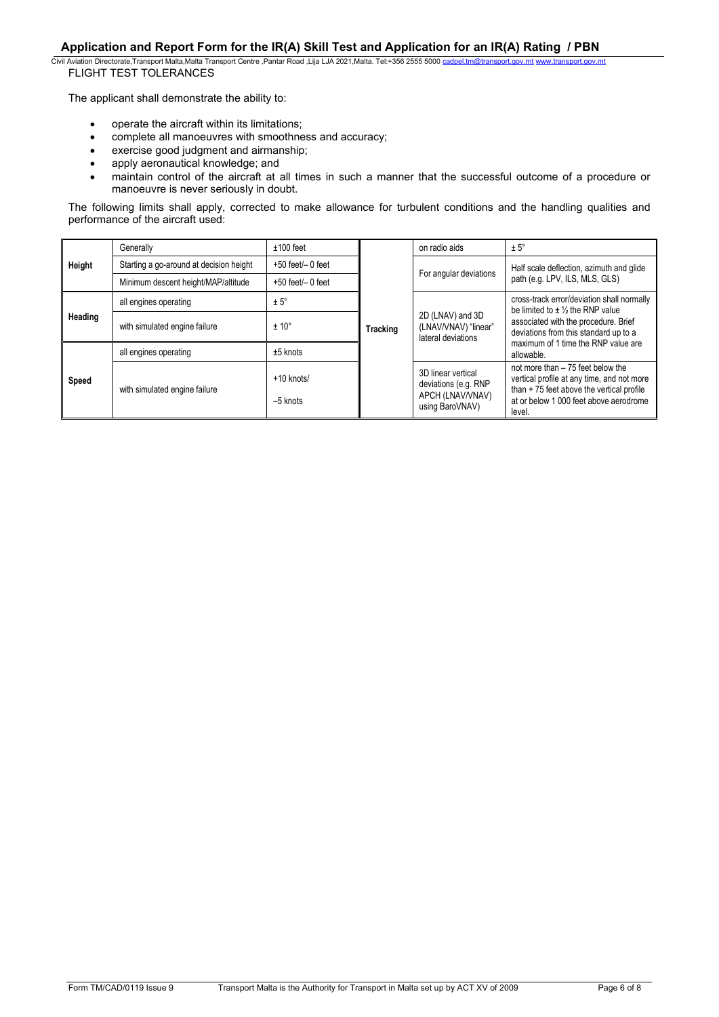Civil Aviation Directorate,Transport Malta,Malta Transport Centre ,Pantar Road ,Lija LJA 2021,Malta. Tel:+356 2555 5000 cadpel.t FLIGHT TEST TOLERANCES

The applicant shall demonstrate the ability to:

- operate the aircraft within its limitations;
- complete all manoeuvres with smoothness and accuracy;<br>• exercise good iudgment and airmanship:
- exercise good judgment and airmanship;<br>• apply aeronautical knowledge: and
- apply aeronautical knowledge; and<br>• maintain control of the aircraft at a
- maintain control of the aircraft at all times in such a manner that the successful outcome of a procedure or manoeuvre is never seriously in doubt.

The following limits shall apply, corrected to make allowance for turbulent conditions and the handling qualities and performance of the aircraft used:

| Height  | Generally                               | $±100$ feet              | <b>Tracking</b> |                                                                                   | on radio aids                                                                                                                                                                   | $± 5^\circ$                                                                         |                                                   |  |  |
|---------|-----------------------------------------|--------------------------|-----------------|-----------------------------------------------------------------------------------|---------------------------------------------------------------------------------------------------------------------------------------------------------------------------------|-------------------------------------------------------------------------------------|---------------------------------------------------|--|--|
|         | Starting a go-around at decision height | $+50$ feet/ $-0$ feet    |                 |                                                                                   | Half scale deflection, azimuth and glide                                                                                                                                        |                                                                                     |                                                   |  |  |
|         | Minimum descent height/MAP/altitude     | $+50$ feet/ $-0$ feet    |                 |                                                                                   | For angular deviations                                                                                                                                                          | path (e.g. LPV, ILS, MLS, GLS)                                                      |                                                   |  |  |
| Heading | all engines operating                   | $± 5^\circ$              |                 |                                                                                   |                                                                                                                                                                                 | cross-track error/deviation shall normally<br>be limited to $\pm$ 1/2 the RNP value |                                                   |  |  |
|         | with simulated engine failure           | $± 10^{\circ}$           |                 | 2D (LNAV) and 3D<br>(LNAV/VNAV) "linear"<br>lateral deviations                    | associated with the procedure. Brief<br>deviations from this standard up to a                                                                                                   |                                                                                     |                                                   |  |  |
| Speed   | all engines operating                   | $±5$ knots               |                 |                                                                                   |                                                                                                                                                                                 |                                                                                     | maximum of 1 time the RNP value are<br>allowable. |  |  |
|         | with simulated engine failure           | +10 knots/<br>$-5$ knots |                 | 3D linear vertical<br>deviations (e.g. RNP<br>APCH (LNAV/VNAV)<br>using BaroVNAV) | not more than - 75 feet below the<br>vertical profile at any time, and not more<br>than +75 feet above the vertical profile<br>at or below 1,000 feet above aerodrome<br>level. |                                                                                     |                                                   |  |  |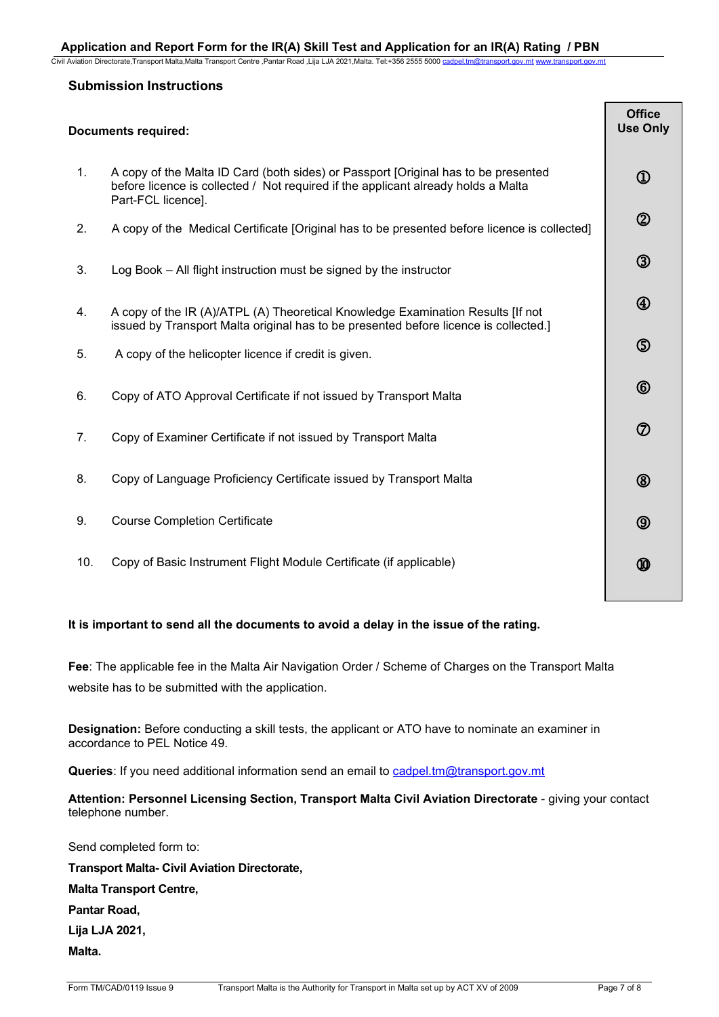Civil Aviation Directorate,Transport Malta,Malta Transport Centre ,Pantar Road ,Lija LJA 2021,Malta. Tel:+356 2555 5000 cadp

# **Submission Instructions**

| <b>Documents required:</b> |  |
|----------------------------|--|
|                            |  |

|     | Documents required:                                                                                                                                                                           | Use Only       |
|-----|-----------------------------------------------------------------------------------------------------------------------------------------------------------------------------------------------|----------------|
| 1.  | A copy of the Malta ID Card (both sides) or Passport [Original has to be presented<br>before licence is collected / Not required if the applicant already holds a Malta<br>Part-FCL licence]. | $^{\circledR}$ |
| 2.  | A copy of the Medical Certificate [Original has to be presented before licence is collected]                                                                                                  | $^{\circledR}$ |
| 3.  | Log Book – All flight instruction must be signed by the instructor                                                                                                                            | $\circledS$    |
| 4.  | A copy of the IR (A)/ATPL (A) Theoretical Knowledge Examination Results [If not<br>issued by Transport Malta original has to be presented before licence is collected.]                       | $\bigcirc$     |
| 5.  | A copy of the helicopter licence if credit is given.                                                                                                                                          | $\circledS$    |
| 6.  | Copy of ATO Approval Certificate if not issued by Transport Malta                                                                                                                             | $^{\circledR}$ |
| 7.  | Copy of Examiner Certificate if not issued by Transport Malta                                                                                                                                 | $\circledcirc$ |
| 8.  | Copy of Language Proficiency Certificate issued by Transport Malta                                                                                                                            | $^{\circledR}$ |
| 9.  | <b>Course Completion Certificate</b>                                                                                                                                                          | $\circledcirc$ |
| 10. | Copy of Basic Instrument Flight Module Certificate (if applicable)                                                                                                                            | ⑩              |
|     |                                                                                                                                                                                               |                |

# **It is important to send all the documents to avoid a delay in the issue of the rating.**

**Fee**: The applicable fee in the Malta Air Navigation Order / Scheme of Charges on the Transport Malta website has to be submitted with the application.

**Designation:** Before conducting a skill tests, the applicant or ATO have to nominate an examiner in accordance to PEL Notice 49.

Queries: If you need additional information send an email to cadpel.tm@transport.gov.mt

Attention: Personnel Licensing Section, Transport Malta Civil Aviation Directorate - giving your contact telephone number.

Send completed form to: **Transport Malta- Civil Aviation Directorate, Malta Transport Centre, Pantar Road, Lija LJA 2021, Malta.**

**Office**